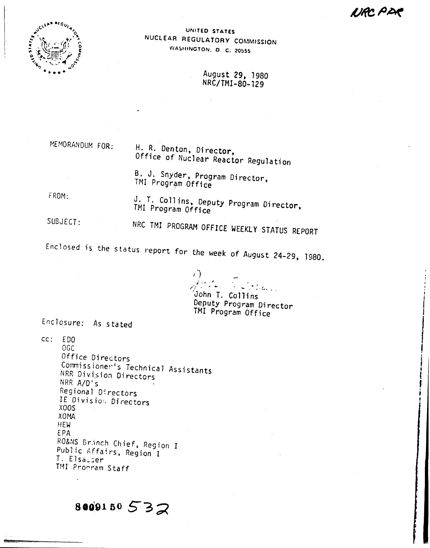IJRC PA



UNITED STATES NUCLEAR REGULATORY COMMISSION WASHINGTON, D. C. 20555

> August 29, 1980 NRC/TMI-80-129

MEMORANDUM FOR: H. R. Denton, Director, Office of Nuclear Reactor Regulation

> B. J. Snyder, Program Director, TMI Program Office

FROM:

J. T. Collins, Deputy Program Director, TMI Program Office

SUBJECT:

NRC TMI PROGRAM OFFICE WEEKLY STATUS REPORT

Enclosed is the status report for the week of August 24-29, 1980.

 $16.1$ John T. Collins

Deputy Program Director TMI Program Office

Enclosure: As stated

 $cc: EDO$ 0GC Office Directors Commissioner's Technical Assistants NRR Division Directors NRR A/D's Regional Directors IE Division Directors XOOS **XOMA** HEW. EPA RO&NS Branch Chief, Region I Public Affairs, Region I T. Elsasser TMI Procram Staff

 $8009150532$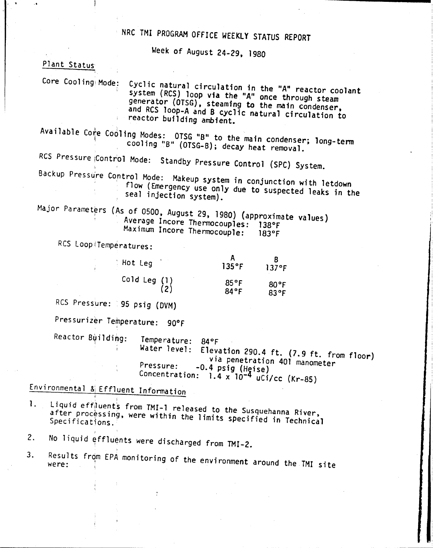# NRC 1MI PROGRAM OFFICE WEEKLY STATUS REPORT

Week of August 24-29, 1980

#### Plant Status

" .

Core Cooling Mode: Cyclic natural circulation in the "A" reactor coolant system (RCS) loop via the "A" once through steam generator (OTSG), steaming to the main condenser, and RCS 100P-A and 8 cyclic natural circulation to reactor building ambient.

Available Co $\stackrel{*}{\parallel}$ e Cooling Modes: OTSG "B" to the main condenser; long-term cool ing "B" (OTSG-B); decay heat removal.

RCS Pressure Control Mode: Standby Pressure Control (SPC) System.

Backup Pressu're Control Mode: Makeup system in conjunction with letdown

flow (Emergency use only due to suspected leaks in the seal injection system).

Major Parameters (As of 0500, August 29, 1980) (approximate values) Average Incore Thermocouples: 138°F Maximum Incore Thermocouple: 183°F

RCS Loop Temperatures:

| Hot Leg        | 135°F          | 137°F          |
|----------------|----------------|----------------|
| Cold Leg $(1)$ | $85^{\circ}$ F | $80^{\circ}$ F |
| (2)            | 84°F           | 83°F           |

RCS Pressure: 95 psig (DVM)

Pressurizer Temperature: 90°F

Temperature: *840F* Water level: Elevation 290.4 ft. (7.9 ft. from floor) via penetration 401 manometer<br>-0.4 psig (Heise)  $\frac{P}{P}$ ressure: -0.4 psig (Heise) Concentration: 1.4  $x$  10<sup>-4</sup> uCi/cc (Kr-85) Reactor Building:

Environmental & Effluent Information

- 1. Liquid effiuents from TMI-1 released to the Susquehanna River, after processing, were within the limits specified in Technical
- 2. No liquid effluents were discharged from TMI-2.
- 3. Results from EPA monitoring of the environment around the TMI site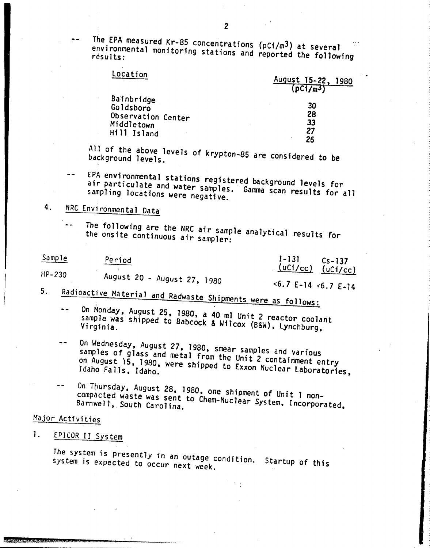The EPA measured Kr-85 concentrations ( $pCi/m^3$ ) at several environmental monitoring stations and reported the following

| Location           | August 15-22, 1980<br>(pC1/m <sup>3</sup> ) |
|--------------------|---------------------------------------------|
| Bainbridge         | 30                                          |
| Goldsboro          | 28                                          |
| Observation Center | 33                                          |
| Middletown         | 27                                          |
| Hill Island        | 26                                          |

All of the above levels of krypton-85 are considered to be<br>background levels.

EPA environmental stations registered background levels for air particulate and water samples. Gamma scan results for all<br>sampling locations were negative.

## 4. NRC Environmental Data

*The* following are the NRC air sample analytical results for  $\sim$   $\sim$ the onsite continuous air sampler:

| Sample                      | Period                | $1-131$ $Cs-137$      |
|-----------------------------|-----------------------|-----------------------|
| HP-230                      |                       | $(uCi/cc)$ $(uCi/cc)$ |
| August 20 - August 27, 1980 | $5.7$ E-14 $5.7$ E-14 |                       |

- 5. Radioactive Material and Radwaste Shipments were as follows:
	- On Monday. August 25, 1980, a 40 ml Unit 2 reactor coolant  $\overline{\phantom{a}}$ sample was shipped to Babcock & Wilcox (B&W), Lynchburg,
	- On Wednesday, August 27, 1980, smear samples and various  $\overline{a}$ samples of glass and metal from the Unit 2 containment entry on August 15, 1980, were shipped to Exxon Nuclear Laboratories,
	- On Thursday, August 28, 1980, one shipment of Unit 1 noncompacted waste was sent to Chem-Nuclear System, Incorporated, Barnwell, South Carolina.

### Major Activities

### 1. EPICOR II System

The system is presently in an outage condition. Startup of this system is expected to occur next week.

2